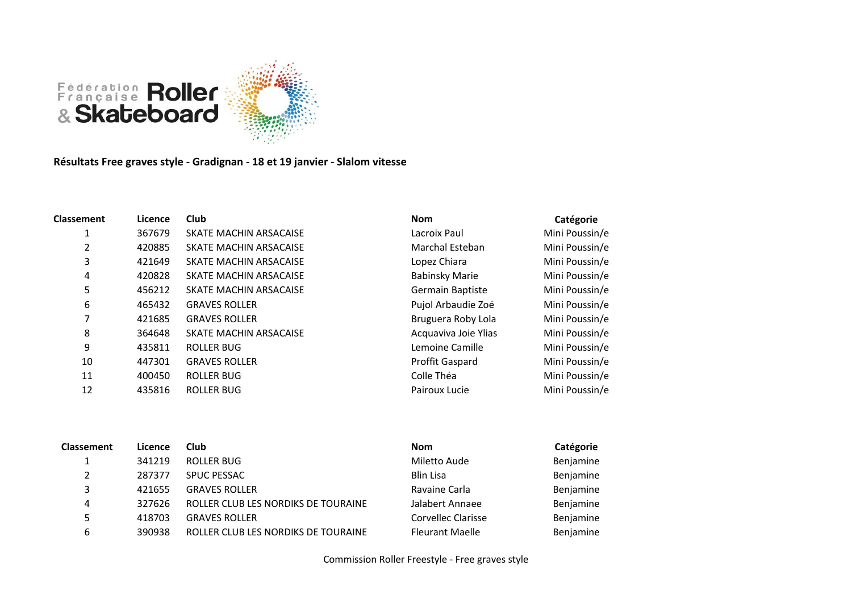

**Résultats Free graves style - Gradignan - 18 et 19 janvier - Slalom vitesse**

| <b>Classement</b> | Licence | <b>Club</b>            | <b>Nom</b>            | Catégorie      |
|-------------------|---------|------------------------|-----------------------|----------------|
|                   | 367679  | SKATE MACHIN ARSACAISE | Lacroix Paul          | Mini Poussin/e |
| 2                 | 420885  | SKATE MACHIN ARSACAISE | Marchal Esteban       | Mini Poussin/e |
| 3                 | 421649  | SKATE MACHIN ARSACAISE | Lopez Chiara          | Mini Poussin/e |
| 4                 | 420828  | SKATE MACHIN ARSACAISE | <b>Babinsky Marie</b> | Mini Poussin/e |
| 5                 | 456212  | SKATE MACHIN ARSACAISE | Germain Baptiste      | Mini Poussin/e |
| 6                 | 465432  | <b>GRAVES ROLLER</b>   | Pujol Arbaudie Zoé    | Mini Poussin/e |
| 7                 | 421685  | <b>GRAVES ROLLER</b>   | Bruguera Roby Lola    | Mini Poussin/e |
| 8                 | 364648  | SKATE MACHIN ARSACAISE | Acquaviva Joie Ylias  | Mini Poussin/e |
| 9                 | 435811  | ROLLER BUG             | Lemoine Camille       | Mini Poussin/e |
| 10                | 447301  | <b>GRAVES ROLLER</b>   | Proffit Gaspard       | Mini Poussin/e |
| 11                | 400450  | <b>ROLLER BUG</b>      | Colle Théa            | Mini Poussin/e |
| 12                | 435816  | <b>ROLLER BUG</b>      | Pairoux Lucie         | Mini Poussin/e |

| <b>Classement</b> | Licence | Club                                | <b>Nom</b>             | Catégorie |
|-------------------|---------|-------------------------------------|------------------------|-----------|
|                   | 341219  | <b>ROLLER BUG</b>                   | Miletto Aude           | Benjamine |
| 2                 | 287377  | <b>SPUC PESSAC</b>                  | <b>Blin Lisa</b>       | Benjamine |
| 3                 | 421655  | <b>GRAVES ROLLER</b>                | Ravaine Carla          | Benjamine |
| 4                 | 327626  | ROLLER CLUB LES NORDIKS DE TOURAINE | Jalabert Annaee        | Benjamine |
|                   | 418703  | <b>GRAVES ROLLER</b>                | Corvellec Clarisse     | Benjamine |
| 6                 | 390938  | ROLLER CLUB LES NORDIKS DE TOURAINE | <b>Fleurant Maelle</b> | Benjamine |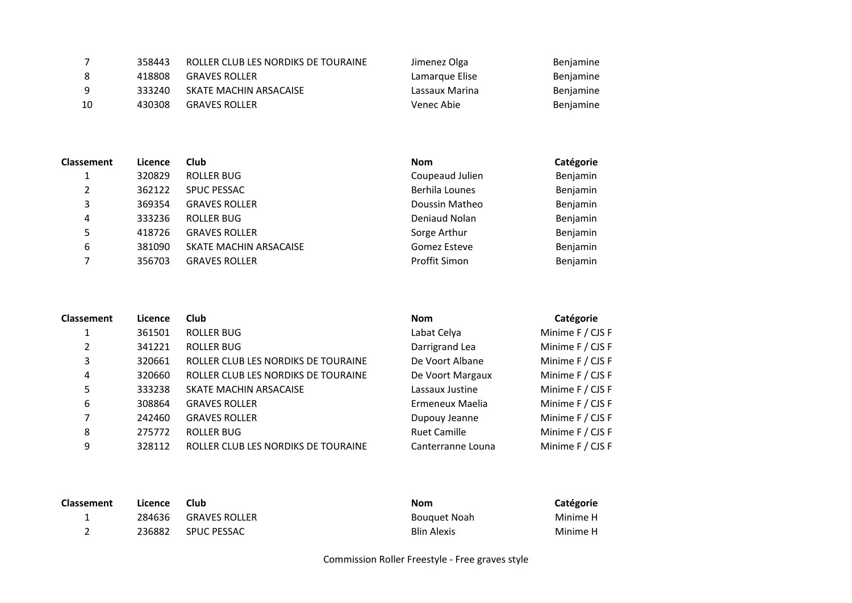|    | 358443 | ROLLER CLUB LES NORDIKS DE TOURAINE | Jimenez Olga   | Benjamine |
|----|--------|-------------------------------------|----------------|-----------|
| 8  | 418808 | <b>GRAVES ROLLER</b>                | Lamarque Elise | Benjamine |
| 9  | 333240 | SKATE MACHIN ARSACAISE              | Lassaux Marina | Benjamine |
| 10 | 430308 | <b>GRAVES ROLLER</b>                | Venec Abie     | Benjamine |

| <b>Classement</b> | Licence | Club                   | <b>Nom</b>      | Catégorie |
|-------------------|---------|------------------------|-----------------|-----------|
|                   | 320829  | ROLLER BUG             | Coupeaud Julien | Benjamin  |
| 2                 | 362122  | <b>SPUC PESSAC</b>     | Berhila Lounes  | Benjamin  |
| 3                 | 369354  | <b>GRAVES ROLLER</b>   | Doussin Matheo  | Benjamin  |
| 4                 | 333236  | ROLLER BUG             | Deniaud Nolan   | Benjamin  |
| 5                 | 418726  | <b>GRAVES ROLLER</b>   | Sorge Arthur    | Benjamin  |
| 6                 | 381090  | SKATE MACHIN ARSACAISE | Gomez Esteve    | Benjamin  |
|                   | 356703  | <b>GRAVES ROLLER</b>   | Proffit Simon   | Benjamin  |

| <b>Classement</b> | Licence | Club                                | <b>Nom</b>          | Catégorie        |
|-------------------|---------|-------------------------------------|---------------------|------------------|
|                   | 361501  | <b>ROLLER BUG</b>                   | Labat Celya         | Minime F / CJS F |
| 2                 | 341221  | <b>ROLLER BUG</b>                   | Darrigrand Lea      | Minime F / CJS F |
| 3                 | 320661  | ROLLER CLUB LES NORDIKS DE TOURAINE | De Voort Albane     | Minime F / CJS F |
| 4                 | 320660  | ROLLER CLUB LES NORDIKS DE TOURAINE | De Voort Margaux    | Minime F / CJS F |
| 5                 | 333238  | SKATE MACHIN ARSACAISE              | Lassaux Justine     | Minime F / CJS F |
| 6                 | 308864  | <b>GRAVES ROLLER</b>                | Ermeneux Maelia     | Minime F / CJS F |
| 7                 | 242460  | <b>GRAVES ROLLER</b>                | Dupouy Jeanne       | Minime F / CJS F |
| 8                 | 275772  | ROLLER BUG                          | <b>Ruet Camille</b> | Minime F / CJS F |
| 9                 | 328112  | ROLLER CLUB LES NORDIKS DE TOURAINE | Canterranne Louna   | Minime F / CJS F |

| <b>Classement</b> | Licence | Club                 | Nom                 | Catégorie |
|-------------------|---------|----------------------|---------------------|-----------|
| <b>.</b>          | 284636  | <b>GRAVES ROLLER</b> | <b>Bouguet Noah</b> | Minime H  |
|                   | 236882  | <b>SPUC PESSAC</b>   | <b>Blin Alexis</b>  | Minime H  |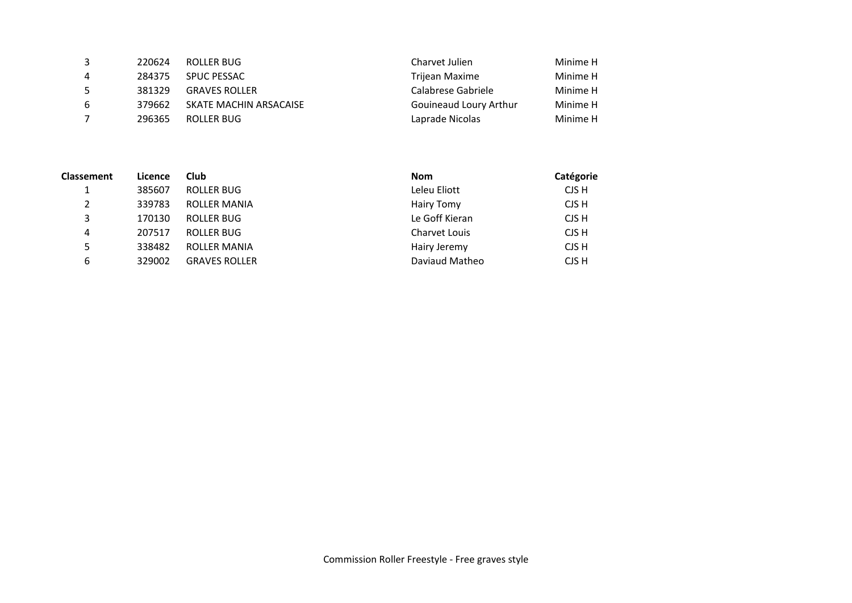| 3 | 220624 | ROLLER BUG             | Charvet Julien         | Minime H |
|---|--------|------------------------|------------------------|----------|
| 4 | 284375 | <b>SPUC PESSAC</b>     | Trijean Maxime         | Minime H |
| 5 | 381329 | <b>GRAVES ROLLER</b>   | Calabrese Gabriele     | Minime H |
| 6 | 379662 | SKATE MACHIN ARSACAISE | Gouineaud Loury Arthur | Minime H |
|   | 296365 | ROLLER BUG             | Laprade Nicolas        | Minime H |

| <b>Classement</b> | Licence | Club                 | <b>Nom</b>           | Catégorie |
|-------------------|---------|----------------------|----------------------|-----------|
|                   | 385607  | ROLLER BUG           | Leleu Eliott         | CJS H     |
| 2                 | 339783  | ROLLER MANIA         | Hairy Tomy           | CJS H     |
| 3                 | 170130  | ROLLER BUG           | Le Goff Kieran       | CJS H     |
| 4                 | 207517  | ROLLER BUG           | <b>Charvet Louis</b> | CJS H     |
| 5.                | 338482  | <b>ROLLER MANIA</b>  | Hairy Jeremy         | CJS H     |
| 6                 | 329002  | <b>GRAVES ROLLER</b> | Daviaud Matheo       | CJS H     |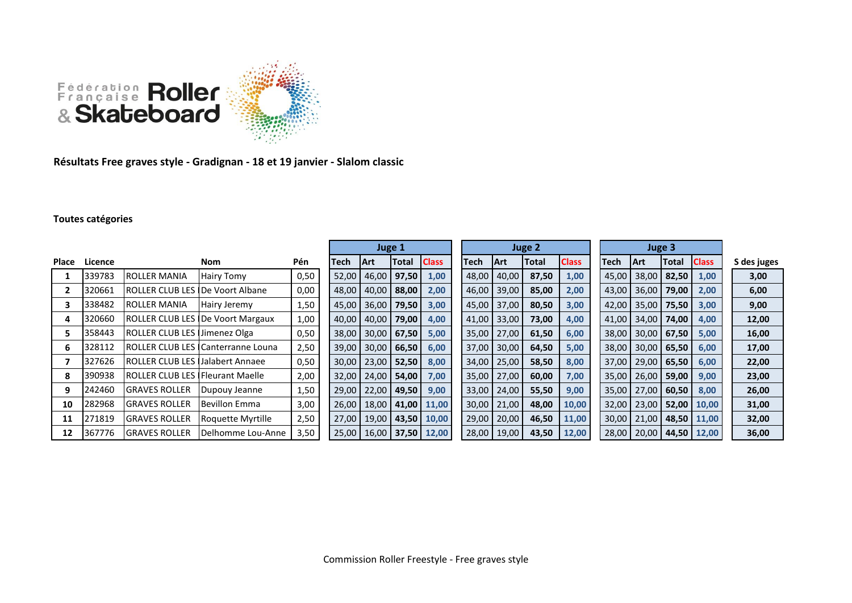

**Résultats Free graves style - Gradignan - 18 et 19 janvier - Slalom classic**

## **Toutes catégories**

|       |         |                                          |                                            |      | Juge 1 |                               |       | Juge 2       |       |             |       | Juge 3       |       |             |                       |              |             |
|-------|---------|------------------------------------------|--------------------------------------------|------|--------|-------------------------------|-------|--------------|-------|-------------|-------|--------------|-------|-------------|-----------------------|--------------|-------------|
| Place | Licence |                                          | Nom                                        | Pén  | Tech   | <b>Art</b>                    | Total | <b>Class</b> | Tech  | <b>IArt</b> | Total | <b>Class</b> | Tech  | <b>IArt</b> | <b>Total</b>          | <b>Class</b> | S des juges |
|       | 339783  | <b>ROLLER MANIA</b>                      | Hairy Tomy                                 | 0,50 | 52,00  | 46,00                         | 97,50 | 1,00         | 48,00 | 40,00       | 87,50 | 1,00         | 45,00 |             | 38,00 82,50           | 1,00         | 3,00        |
|       | 320661  | <b>ROLLER CLUB LES IDe Voort Albane</b>  |                                            | 0,00 | 48,00  | 40,00                         | 88,00 | 2,00         | 46,00 | 39,00       | 85,00 | 2,00         | 43,00 | 36,00       | 79,00                 | 2,00         | 6,00        |
|       | 338482  | <b>ROLLER MANIA</b>                      | Hairy Jeremy                               | 1,50 |        | 45,00 36,00                   | 79,50 | 3,00         | 45,00 | 37,00       | 80,50 | 3,00         | 42,00 | 35,00       | 75,50                 | 3,00         | 9,00        |
|       | 320660  |                                          | <b>ROLLER CLUB LES IDe Voort Margaux</b>   | 1,00 | 40,00  | 40,00                         | 79,00 | 4,00         | 41,00 | 33,00       | 73,00 | 4,00         | 41,00 | 34,00       | 74,00                 | 4,00         | 12,00       |
|       | 358443  | ROLLER CLUB LES Jimenez Olga             |                                            | 0,50 | 38,00  | 30,00                         | 67,50 | 5,00         | 35,00 | 27,00       | 61,50 | 6,00         | 38,00 |             | $30,00$ 67,50         | 5,00         | 16,00       |
| 6     | 328112  |                                          | ROLLER CLUB LES <b>I</b> Canterranne Louna | 2,50 | 39,00  | 30,00                         | 66,50 | 6,00         | 37,00 | 30,00       | 64,50 | 5,00         | 38,00 |             | 30,00   65,50         | 6,00         | 17,00       |
|       | 327626  | <b>IROLLER CLUB LES IJalabert Annaee</b> |                                            | 0,50 |        | 30,00   23,00                 | 52,50 | 8,00         | 34,00 | 25,00       | 58,50 | 8,00         | 37,00 | 29,00       | 65,50                 | 6,00         | 22,00       |
| 8     | 390938  | <b>ROLLER CLUB LES IFleurant Maelle</b>  |                                            | 2,00 |        | 32,00   24,00                 | 54,00 | 7,00         | 35,00 | 27,00       | 60,00 | 7,00         | 35,00 | 26.00       | 59,00                 | 9,00         | 23,00       |
| 9     | 242460  | <b>I</b> GRAVES ROLLER                   | Dupouy Jeanne                              | 1,50 |        | 29,00   22,00                 | 49,50 | 9,00         | 33,00 | 24,00       | 55,50 | 9,00         | 35,00 | 27,00       | 60,50                 | 8,00         | 26,00       |
| 10    | 282968  | <b>GRAVES ROLLER</b>                     | <b>Bevillon Emma</b>                       | 3,00 |        | 26,00   18,00                 |       | 41,00 11,00  | 30,00 | 21,00       | 48,00 | 10,00        | 32,00 | 23,00       | 52,00                 | 10,00        | 31,00       |
| 11    | 271819  | <b>GRAVES ROLLER</b>                     | Roquette Myrtille                          | 2,50 |        | 27,00   19,00                 | 43,50 | 10,00        | 29,00 | 20,00       | 46,50 | 11,00        | 30,00 | 21,00       | 48,50                 | 11,00        | 32,00       |
| 12    | 367776  | <b>GRAVES ROLLER</b>                     | Delhomme Lou-Anne                          | 3,50 |        | 25,00   16,00   37,50   12,00 |       |              | 28,00 | 19,00       | 43,50 | 12,00        | 28,00 |             | 20,00   44,50   12,00 |              | 36,00       |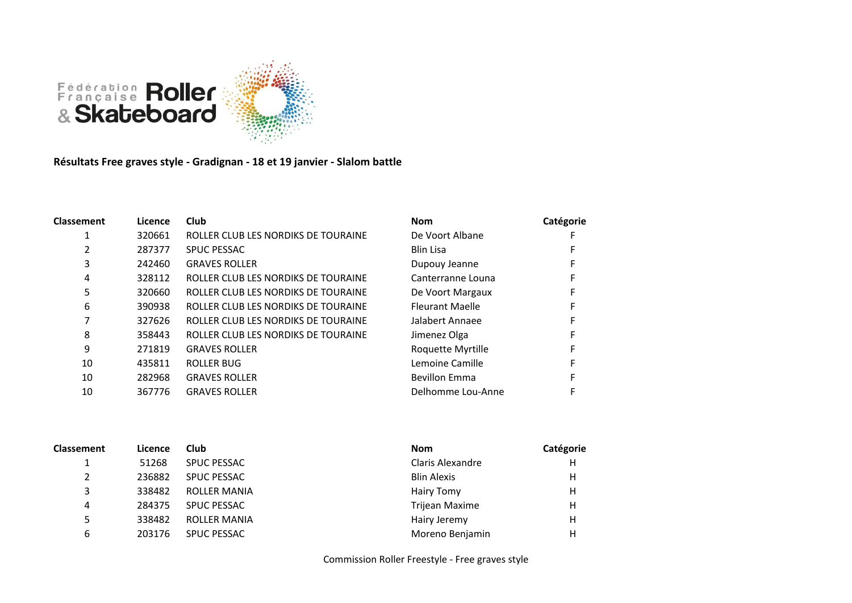

**Résultats Free graves style - Gradignan - 18 et 19 janvier - Slalom battle**

| <b>Classement</b> | Licence | <b>Club</b>                         | <b>Nom</b>             | Catégorie |
|-------------------|---------|-------------------------------------|------------------------|-----------|
|                   | 320661  | ROLLER CLUB LES NORDIKS DE TOURAINE | De Voort Albane        |           |
|                   | 287377  | <b>SPUC PESSAC</b>                  | <b>Blin Lisa</b>       |           |
| 3                 | 242460  | <b>GRAVES ROLLER</b>                | Dupouy Jeanne          |           |
| 4                 | 328112  | ROLLER CLUB LES NORDIKS DE TOURAINE | Canterranne Louna      |           |
| 5                 | 320660  | ROLLER CLUB LES NORDIKS DE TOURAINE | De Voort Margaux       |           |
| 6                 | 390938  | ROLLER CLUB LES NORDIKS DE TOURAINE | <b>Fleurant Maelle</b> |           |
|                   | 327626  | ROLLER CLUB LES NORDIKS DE TOURAINE | Jalabert Annaee        |           |
| 8                 | 358443  | ROLLER CLUB LES NORDIKS DE TOURAINE | Jimenez Olga           |           |
| 9                 | 271819  | <b>GRAVES ROLLER</b>                | Roquette Myrtille      |           |
| 10                | 435811  | <b>ROLLER BUG</b>                   | Lemoine Camille        |           |
| 10                | 282968  | <b>GRAVES ROLLER</b>                | <b>Bevillon Emma</b>   |           |
| 10                | 367776  | <b>GRAVES ROLLER</b>                | Delhomme Lou-Anne      |           |

| <b>Classement</b> | Licence | Club                | <b>Nom</b>              | Catégorie |
|-------------------|---------|---------------------|-------------------------|-----------|
|                   | 51268   | <b>SPUC PESSAC</b>  | <b>Claris Alexandre</b> | Н         |
| $\overline{2}$    | 236882  | <b>SPUC PESSAC</b>  | <b>Blin Alexis</b>      | Н         |
| 3                 | 338482  | <b>ROLLER MANIA</b> | Hairy Tomy              | Н         |
| 4                 | 284375  | <b>SPUC PESSAC</b>  | Trijean Maxime          | Н         |
| 5                 | 338482  | <b>ROLLER MANIA</b> | Hairy Jeremy            | Н         |
| 6                 | 203176  | <b>SPUC PESSAC</b>  | Moreno Benjamin         | Н         |

Commission Roller Freestyle - Free graves style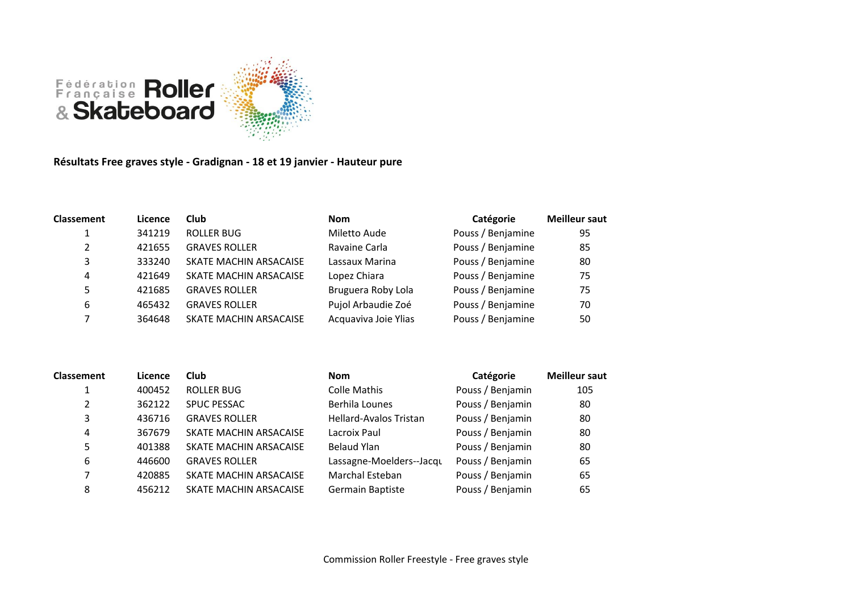

**Résultats Free graves style - Gradignan - 18 et 19 janvier - Hauteur pure**

| <b>Classement</b> | Licence | <b>Club</b>            | <b>Nom</b>           | Catégorie         | <b>Meilleur saut</b> |
|-------------------|---------|------------------------|----------------------|-------------------|----------------------|
|                   | 341219  | <b>ROLLER BUG</b>      | Miletto Aude         | Pouss / Benjamine | 95                   |
| $\mathcal{L}$     | 421655  | <b>GRAVES ROLLER</b>   | Ravaine Carla        | Pouss / Benjamine | 85                   |
| 3                 | 333240  | SKATE MACHIN ARSACAISE | Lassaux Marina       | Pouss / Benjamine | 80                   |
| 4                 | 421649  | SKATE MACHIN ARSACAISE | Lopez Chiara         | Pouss / Benjamine | 75                   |
| 5                 | 421685  | <b>GRAVES ROLLER</b>   | Bruguera Roby Lola   | Pouss / Benjamine | 75                   |
| 6                 | 465432  | <b>GRAVES ROLLER</b>   | Pujol Arbaudie Zoé   | Pouss / Benjamine | 70                   |
|                   | 364648  | SKATE MACHIN ARSACAISE | Acquaviva Joie Ylias | Pouss / Benjamine | 50                   |

| <b>Classement</b> | Licence | Club                   | <b>Nom</b>                    | Catégorie        | <b>Meilleur saut</b> |
|-------------------|---------|------------------------|-------------------------------|------------------|----------------------|
|                   | 400452  | ROLLER BUG             | Colle Mathis                  | Pouss / Benjamin | 105                  |
| 2                 | 362122  | <b>SPUC PESSAC</b>     | Berhila Lounes                | Pouss / Benjamin | 80                   |
| 3                 | 436716  | <b>GRAVES ROLLER</b>   | <b>Hellard-Avalos Tristan</b> | Pouss / Benjamin | 80                   |
| 4                 | 367679  | SKATE MACHIN ARSACAISE | Lacroix Paul                  | Pouss / Benjamin | 80                   |
| 5                 | 401388  | SKATE MACHIN ARSACAISE | <b>Belaud Ylan</b>            | Pouss / Benjamin | 80                   |
| 6                 | 446600  | <b>GRAVES ROLLER</b>   | Lassagne-Moelders--Jacqu      | Pouss / Benjamin | 65                   |
|                   | 420885  | SKATE MACHIN ARSACAISE | <b>Marchal Esteban</b>        | Pouss / Benjamin | 65                   |
| 8                 | 456212  | SKATE MACHIN ARSACAISE | Germain Baptiste              | Pouss / Benjamin | 65                   |